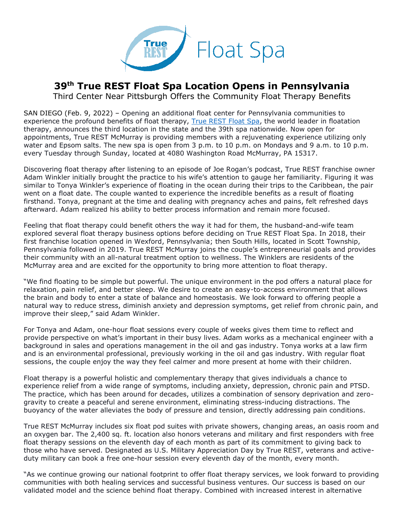

## **39th True REST Float Spa Location Opens in Pennsylvania**

Third Center Near Pittsburgh Offers the Community Float Therapy Benefits

SAN DIEGO (Feb. 9, 2022) – Opening an additional float center for Pennsylvania communities to experience the profound benefits of float therapy, [True REST Float Spa,](https://truerest.com/about-us/?utm_source=true+rest+press+release&utm_medium=accesswire.com&utm_campaign=true+rest+39th+location+pennsylvania&utm_content=true+rest+hyperlink+1) the world leader in floatation therapy, announces the third location in the state and the 39th spa nationwide. Now open for appointments, True REST McMurray is providing members with a rejuvenating experience utilizing only water and Epsom salts. The new spa is open from 3 p.m. to 10 p.m. on Mondays and 9 a.m. to 10 p.m. every Tuesday through Sunday, located at 4080 Washington Road McMurray, PA 15317.

Discovering float therapy after listening to an episode of Joe Rogan's podcast, True REST franchise owner Adam Winkler initially brought the practice to his wife's attention to gauge her familiarity. Figuring it was similar to Tonya Winkler's experience of floating in the ocean during their trips to the Caribbean, the pair went on a float date. The couple wanted to experience the incredible benefits as a result of floating firsthand. Tonya, pregnant at the time and dealing with pregnancy aches and pains, felt refreshed days afterward. Adam realized his ability to better process information and remain more focused.

Feeling that float therapy could benefit others the way it had for them, the husband-and-wife team explored several float therapy business options before deciding on True REST Float Spa. In 2018, their first franchise location opened in Wexford, Pennsylvania; then South Hills, located in Scott Township, Pennsylvania followed in 2019. True REST McMurray joins the couple's entrepreneurial goals and provides their community with an all-natural treatment option to wellness. The Winklers are residents of the McMurray area and are excited for the opportunity to bring more attention to float therapy.

"We find floating to be simple but powerful. The unique environment in the pod offers a natural place for relaxation, pain relief, and better sleep. We desire to create an easy-to-access environment that allows the brain and body to enter a state of balance and homeostasis. We look forward to offering people a natural way to reduce stress, diminish anxiety and depression symptoms, get relief from chronic pain, and improve their sleep," said Adam Winkler.

For Tonya and Adam, one-hour float sessions every couple of weeks gives them time to reflect and provide perspective on what's important in their busy lives. Adam works as a mechanical engineer with a background in sales and operations management in the oil and gas industry. Tonya works at a law firm and is an environmental professional, previously working in the oil and gas industry. With regular float sessions, the couple enjoy the way they feel calmer and more present at home with their children.

Float therapy is a powerful holistic and complementary therapy that gives individuals a chance to experience relief from a wide range of symptoms, including anxiety, depression, chronic pain and PTSD. The practice, which has been around for decades, utilizes a combination of sensory deprivation and zerogravity to create a peaceful and serene environment, eliminating stress-inducing distractions. The buoyancy of the water alleviates the body of pressure and tension, directly addressing pain conditions.

True REST McMurray includes six float pod suites with private showers, changing areas, an oasis room and an oxygen bar. The 2,400 sq. ft. location also honors veterans and military and first responders with free float therapy sessions on the eleventh day of each month as part of its commitment to giving back to those who have served. Designated as U.S. Military Appreciation Day by True REST, veterans and activeduty military can book a free one-hour session every eleventh day of the month, every month.

"As we continue growing our national footprint to offer float therapy services, we look forward to providing communities with both healing services and successful business ventures. Our success is based on our validated model and the science behind float therapy. Combined with increased interest in alternative